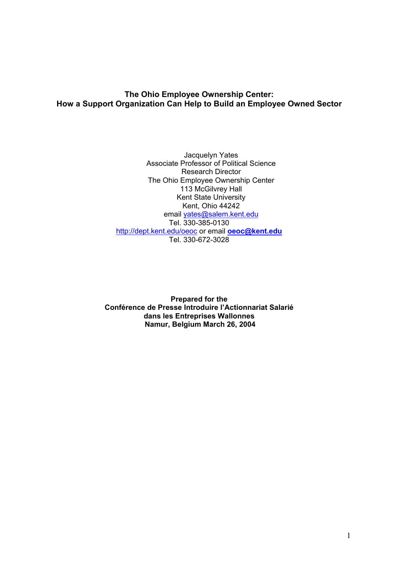# **The Ohio Employee Ownership Center: How a Support Organization Can Help to Build an Employee Owned Sector**

Jacquelyn Yates Associate Professor of Political Science Research Director The Ohio Employee Ownership Center 113 McGilvrey Hall Kent State University Kent, Ohio 44242 email yates@salem.kent.edu Tel. 330-385-0130 http://dept.kent.edu/oeoc or email **oeoc@kent.edu** Tel. 330-672-3028

**Prepared for the Conférence de Presse Introduire l'Actionnariat Salarié dans les Entreprises Wallonnes Namur, Belgium March 26, 2004**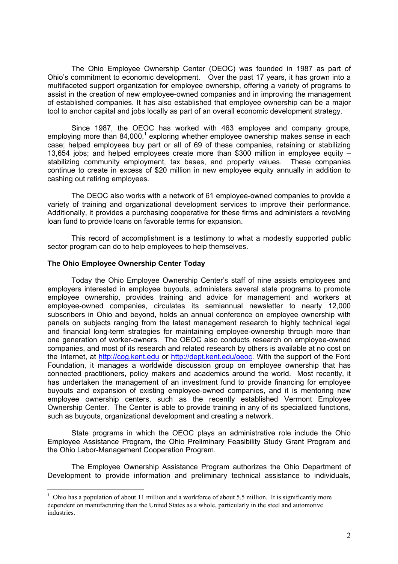The Ohio Employee Ownership Center (OEOC) was founded in 1987 as part of Ohio's commitment to economic development. Over the past 17 years, it has grown into a multifaceted support organization for employee ownership, offering a variety of programs to assist in the creation of new employee-owned companies and in improving the management of established companies. It has also established that employee ownership can be a major tool to anchor capital and jobs locally as part of an overall economic development strategy.

 Since 1987, the OEOC has worked with 463 employee and company groups, employing more than 84,000,<sup>1</sup> exploring whether employee ownership makes sense in each case; helped employees buy part or all of 69 of these companies, retaining or stabilizing 13,654 jobs; and helped employees create more than \$300 million in employee equity – stabilizing community employment, tax bases, and property values. These companies continue to create in excess of \$20 million in new employee equity annually in addition to cashing out retiring employees.

 The OEOC also works with a network of 61 employee-owned companies to provide a variety of training and organizational development services to improve their performance. Additionally, it provides a purchasing cooperative for these firms and administers a revolving loan fund to provide loans on favorable terms for expansion.

 This record of accomplishment is a testimony to what a modestly supported public sector program can do to help employees to help themselves.

### **The Ohio Employee Ownership Center Today**

 $\overline{a}$ 

Today the Ohio Employee Ownership Center's staff of nine assists employees and employers interested in employee buyouts, administers several state programs to promote employee ownership, provides training and advice for management and workers at employee-owned companies, circulates its semiannual newsletter to nearly 12,000 subscribers in Ohio and beyond, holds an annual conference on employee ownership with panels on subjects ranging from the latest management research to highly technical legal and financial long-term strategies for maintaining employee-ownership through more than one generation of worker-owners. The OEOC also conducts research on employee-owned companies, and most of its research and related research by others is available at no cost on the Internet, at http://cog.kent.edu or http://dept.kent.edu/oeoc. With the support of the Ford Foundation, it manages a worldwide discussion group on employee ownership that has connected practitioners, policy makers and academics around the world. Most recently, it has undertaken the management of an investment fund to provide financing for employee buyouts and expansion of existing employee-owned companies, and it is mentoring new employee ownership centers, such as the recently established Vermont Employee Ownership Center. The Center is able to provide training in any of its specialized functions, such as buyouts, organizational development and creating a network.

State programs in which the OEOC plays an administrative role include the Ohio Employee Assistance Program, the Ohio Preliminary Feasibility Study Grant Program and the Ohio Labor-Management Cooperation Program.

The Employee Ownership Assistance Program authorizes the Ohio Department of Development to provide information and preliminary technical assistance to individuals,

<sup>&</sup>lt;sup>1</sup> Ohio has a population of about 11 million and a workforce of about 5.5 million. It is significantly more dependent on manufacturing than the United States as a whole, particularly in the steel and automotive industries.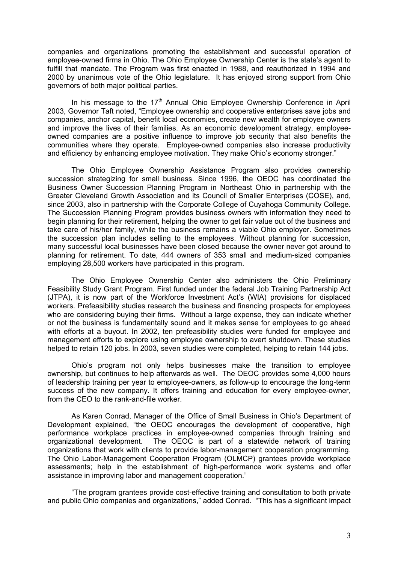companies and organizations promoting the establishment and successful operation of employee-owned firms in Ohio. The Ohio Employee Ownership Center is the state's agent to fulfill that mandate. The Program was first enacted in 1988, and reauthorized in 1994 and 2000 by unanimous vote of the Ohio legislature. It has enjoyed strong support from Ohio governors of both major political parties.

In his message to the  $17<sup>th</sup>$  Annual Ohio Employee Ownership Conference in April 2003, Governor Taft noted, "Employee ownership and cooperative enterprises save jobs and companies, anchor capital, benefit local economies, create new wealth for employee owners and improve the lives of their families. As an economic development strategy, employeeowned companies are a positive influence to improve job security that also benefits the communities where they operate. Employee-owned companies also increase productivity and efficiency by enhancing employee motivation. They make Ohio's economy stronger."

The Ohio Employee Ownership Assistance Program also provides ownership succession strategizing for small business. Since 1996, the OEOC has coordinated the Business Owner Succession Planning Program in Northeast Ohio in partnership with the Greater Cleveland Growth Association and its Council of Smaller Enterprises (COSE), and, since 2003, also in partnership with the Corporate College of Cuyahoga Community College. The Succession Planning Program provides business owners with information they need to begin planning for their retirement, helping the owner to get fair value out of the business and take care of his/her family, while the business remains a viable Ohio employer. Sometimes the succession plan includes selling to the employees. Without planning for succession, many successful local businesses have been closed because the owner never got around to planning for retirement. To date, 444 owners of 353 small and medium-sized companies employing 28,500 workers have participated in this program.

The Ohio Employee Ownership Center also administers the Ohio Preliminary Feasibility Study Grant Program. First funded under the federal Job Training Partnership Act (JTPA), it is now part of the Workforce Investment Act's (WIA) provisions for displaced workers. Prefeasibility studies research the business and financing prospects for employees who are considering buying their firms. Without a large expense, they can indicate whether or not the business is fundamentally sound and it makes sense for employees to go ahead with efforts at a buyout. In 2002, ten prefeasibility studies were funded for employee and management efforts to explore using employee ownership to avert shutdown. These studies helped to retain 120 jobs. In 2003, seven studies were completed, helping to retain 144 jobs.

Ohio's program not only helps businesses make the transition to employee ownership, but continues to help afterwards as well. The OEOC provides some 4,000 hours of leadership training per year to employee-owners, as follow-up to encourage the long-term success of the new company. It offers training and education for every employee-owner, from the CEO to the rank-and-file worker.

As Karen Conrad, Manager of the Office of Small Business in Ohio's Department of Development explained, "the OEOC encourages the development of cooperative, high performance workplace practices in employee-owned companies through training and organizational development. The OEOC is part of a statewide network of training organizations that work with clients to provide labor-management cooperation programming. The Ohio Labor-Management Cooperation Program (OLMCP) grantees provide workplace assessments; help in the establishment of high-performance work systems and offer assistance in improving labor and management cooperation."

"The program grantees provide cost-effective training and consultation to both private and public Ohio companies and organizations," added Conrad. "This has a significant impact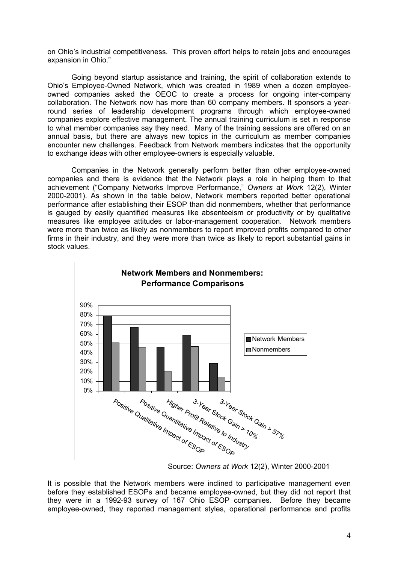on Ohio's industrial competitiveness. This proven effort helps to retain jobs and encourages expansion in Ohio."

Going beyond startup assistance and training, the spirit of collaboration extends to Ohio's Employee-Owned Network, which was created in 1989 when a dozen employeeowned companies asked the OEOC to create a process for ongoing inter-company collaboration. The Network now has more than 60 company members. It sponsors a yearround series of leadership development programs through which employee-owned companies explore effective management. The annual training curriculum is set in response to what member companies say they need. Many of the training sessions are offered on an annual basis, but there are always new topics in the curriculum as member companies encounter new challenges. Feedback from Network members indicates that the opportunity to exchange ideas with other employee-owners is especially valuable.

Companies in the Network generally perform better than other employee-owned companies and there is evidence that the Network plays a role in helping them to that achievement ("Company Networks Improve Performance," *Owners at Work* 12(2), Winter 2000-2001). As shown in the table below, Network members reported better operational performance after establishing their ESOP than did nonmembers, whether that performance is gauged by easily quantified measures like absenteeism or productivity or by qualitative measures like employee attitudes or labor-management cooperation. Network members were more than twice as likely as nonmembers to report improved profits compared to other firms in their industry, and they were more than twice as likely to report substantial gains in stock values.



Source: *Owners at Work* 12(2), Winter 2000-2001

It is possible that the Network members were inclined to participative management even before they established ESOPs and became employee-owned, but they did not report that they were in a 1992-93 survey of 167 Ohio ESOP companies. Before they became employee-owned, they reported management styles, operational performance and profits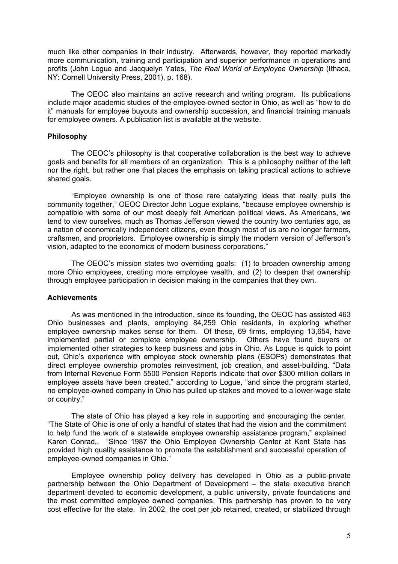much like other companies in their industry. Afterwards, however, they reported markedly more communication, training and participation and superior performance in operations and profits (John Logue and Jacquelyn Yates, *The Real World of Employee Ownership* (Ithaca, NY: Cornell University Press, 2001), p. 168).

 The OEOC also maintains an active research and writing program. Its publications include major academic studies of the employee-owned sector in Ohio, as well as "how to do it" manuals for employee buyouts and ownership succession, and financial training manuals for employee owners. A publication list is available at the website.

## **Philosophy**

The OEOC's philosophy is that cooperative collaboration is the best way to achieve goals and benefits for all members of an organization. This is a philosophy neither of the left nor the right, but rather one that places the emphasis on taking practical actions to achieve shared goals.

"Employee ownership is one of those rare catalyzing ideas that really pulls the community together," OEOC Director John Logue explains, "because employee ownership is compatible with some of our most deeply felt American political views. As Americans, we tend to view ourselves, much as Thomas Jefferson viewed the country two centuries ago, as a nation of economically independent citizens, even though most of us are no longer farmers, craftsmen, and proprietors. Employee ownership is simply the modern version of Jefferson's vision, adapted to the economics of modern business corporations."

 The OEOC's mission states two overriding goals: (1) to broaden ownership among more Ohio employees, creating more employee wealth, and (2) to deepen that ownership through employee participation in decision making in the companies that they own.

## **Achievements**

As was mentioned in the introduction, since its founding, the OEOC has assisted 463 Ohio businesses and plants, employing 84,259 Ohio residents, in exploring whether employee ownership makes sense for them. Of these, 69 firms, employing 13,654, have implemented partial or complete employee ownership. Others have found buyers or implemented other strategies to keep business and jobs in Ohio. As Logue is quick to point out, Ohio's experience with employee stock ownership plans (ESOPs) demonstrates that direct employee ownership promotes reinvestment, job creation, and asset-building. "Data from Internal Revenue Form 5500 Pension Reports indicate that over \$300 million dollars in employee assets have been created," according to Logue, "and since the program started, no employee-owned company in Ohio has pulled up stakes and moved to a lower-wage state or country."

The state of Ohio has played a key role in supporting and encouraging the center. "The State of Ohio is one of only a handful of states that had the vision and the commitment to help fund the work of a statewide employee ownership assistance program," explained Karen Conrad,. "Since 1987 the Ohio Employee Ownership Center at Kent State has provided high quality assistance to promote the establishment and successful operation of employee-owned companies in Ohio."

Employee ownership policy delivery has developed in Ohio as a public-private partnership between the Ohio Department of Development – the state executive branch department devoted to economic development, a public university, private foundations and the most committed employee owned companies. This partnership has proven to be very cost effective for the state. In 2002, the cost per job retained, created, or stabilized through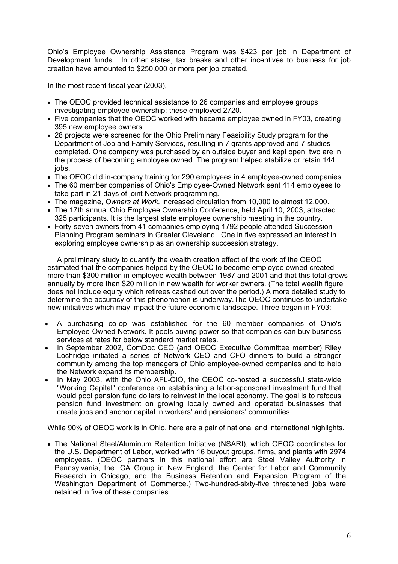Ohio's Employee Ownership Assistance Program was \$423 per job in Department of Development funds. In other states, tax breaks and other incentives to business for job creation have amounted to \$250,000 or more per job created.

In the most recent fiscal year (2003),

- The OEOC provided technical assistance to 26 companies and employee groups investigating employee ownership; these employed 2720.
- Five companies that the OEOC worked with became employee owned in FY03, creating 395 new employee owners.
- 28 projects were screened for the Ohio Preliminary Feasibility Study program for the Department of Job and Family Services, resulting in 7 grants approved and 7 studies completed. One company was purchased by an outside buyer and kept open; two are in the process of becoming employee owned. The program helped stabilize or retain 144 iobs.
- The OEOC did in-company training for 290 employees in 4 employee-owned companies.
- The 60 member companies of Ohio's Employee-Owned Network sent 414 employees to take part in 21 days of joint Network programming.
- The magazine, *Owners at Work,* increased circulation from 10,000 to almost 12,000.
- The 17th annual Ohio Employee Ownership Conference, held April 10, 2003, attracted 325 participants. It is the largest state employee ownership meeting in the country.
- Forty-seven owners from 41 companies employing 1792 people attended Succession Planning Program seminars in Greater Cleveland. One in five expressed an interest in exploring employee ownership as an ownership succession strategy.

A preliminary study to quantify the wealth creation effect of the work of the OEOC estimated that the companies helped by the OEOC to become employee owned created more than \$300 million in employee wealth between 1987 and 2001 and that this total grows annually by more than \$20 million in new wealth for worker owners. (The total wealth figure does not include equity which retirees cashed out over the period.) A more detailed study to determine the accuracy of this phenomenon is underway.The OEOC continues to undertake new initiatives which may impact the future economic landscape. Three began in FY03:

- A purchasing co-op was established for the 60 member companies of Ohio's Employee-Owned Network. It pools buying power so that companies can buy business services at rates far below standard market rates.
- In September 2002, ComDoc CEO (and OEOC Executive Committee member) Riley Lochridge initiated a series of Network CEO and CFO dinners to build a stronger community among the top managers of Ohio employee-owned companies and to help the Network expand its membership.
- In May 2003, with the Ohio AFL-CIO, the OEOC co-hosted a successful state-wide "Working Capital" conference on establishing a labor-sponsored investment fund that would pool pension fund dollars to reinvest in the local economy. The goal is to refocus pension fund investment on growing locally owned and operated businesses that create jobs and anchor capital in workers' and pensioners' communities.

While 90% of OEOC work is in Ohio, here are a pair of national and international highlights.

• The National Steel/Aluminum Retention Initiative (NSARI), which OEOC coordinates for the U.S. Department of Labor, worked with 16 buyout groups, firms, and plants with 2974 employees. (OEOC partners in this national effort are Steel Valley Authority in Pennsylvania, the ICA Group in New England, the Center for Labor and Community Research in Chicago, and the Business Retention and Expansion Program of the Washington Department of Commerce.) Two-hundred-sixty-five threatened jobs were retained in five of these companies.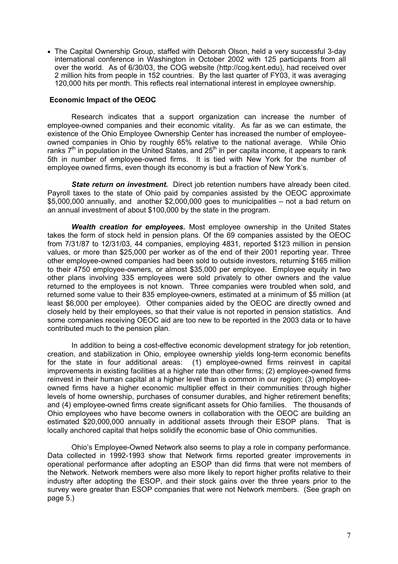• The Capital Ownership Group, staffed with Deborah Olson, held a very successful 3-day international conference in Washington in October 2002 with 125 participants from all over the world. As of 6/30/03, the COG website (http://cog.kent.edu), had received over 2 million hits from people in 152 countries. By the last quarter of FY03, it was averaging 120,000 hits per month. This reflects real international interest in employee ownership.

## **Economic Impact of the OEOC**

Research indicates that a support organization can increase the number of employee-owned companies and their economic vitality. As far as we can estimate, the existence of the Ohio Employee Ownership Center has increased the number of employeeowned companies in Ohio by roughly 65% relative to the national average. While Ohio ranks  $7<sup>th</sup>$  in population in the United States, and 25<sup>th</sup> in per capita income, it appears to rank 5th in number of employee-owned firms. It is tied with New York for the number of employee owned firms, even though its economy is but a fraction of New York's.

*State return on investment.* Direct job retention numbers have already been cited. Payroll taxes to the state of Ohio paid by companies assisted by the OEOC approximate \$5,000,000 annually, and another \$2,000,000 goes to municipalities – not a bad return on an annual investment of about \$100,000 by the state in the program.

*Wealth creation for employees.* Most employee ownership in the United States takes the form of stock held in pension plans. Of the 69 companies assisted by the OEOC from 7/31/87 to 12/31/03, 44 companies, employing 4831, reported \$123 million in pension values, or more than \$25,000 per worker as of the end of their 2001 reporting year. Three other employee-owned companies had been sold to outside investors, returning \$165 million to their 4750 employee-owners, or almost \$35,000 per employee. Employee equity in two other plans involving 335 employees were sold privately to other owners and the value returned to the employees is not known. Three companies were troubled when sold, and returned some value to their 835 employee-owners, estimated at a minimum of \$5 million (at least \$6,000 per employee). Other companies aided by the OEOC are directly owned and closely held by their employees, so that their value is not reported in pension statistics. And some companies receiving OEOC aid are too new to be reported in the 2003 data or to have contributed much to the pension plan.

In addition to being a cost-effective economic development strategy for job retention, creation, and stabilization in Ohio, employee ownership yields long-term economic benefits for the state in four additional areas: (1) employee-owned firms reinvest in capital improvements in existing facilities at a higher rate than other firms; (2) employee-owned firms reinvest in their human capital at a higher level than is common in our region; (3) employeeowned firms have a higher economic multiplier effect in their communities through higher levels of home ownership, purchases of consumer durables, and higher retirement benefits; and (4) employee-owned firms create significant assets for Ohio families. The thousands of Ohio employees who have become owners in collaboration with the OEOC are building an estimated \$20,000,000 annually in additional assets through their ESOP plans. That is locally anchored capital that helps solidify the economic base of Ohio communities.

Ohio's Employee-Owned Network also seems to play a role in company performance. Data collected in 1992-1993 show that Network firms reported greater improvements in operational performance after adopting an ESOP than did firms that were not members of the Network. Network members were also more likely to report higher profits relative to their industry after adopting the ESOP, and their stock gains over the three years prior to the survey were greater than ESOP companies that were not Network members. (See graph on page 5.)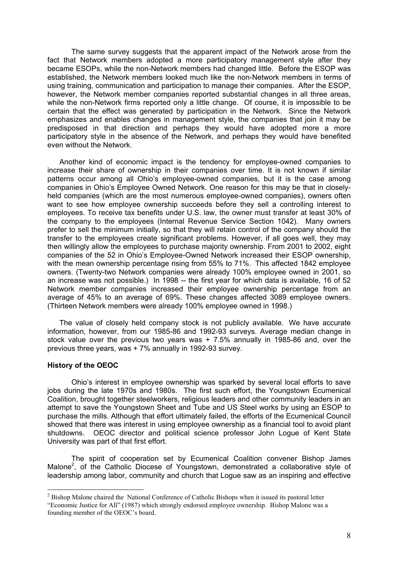The same survey suggests that the apparent impact of the Network arose from the fact that Network members adopted a more participatory management style after they became ESOPs, while the non-Network members had changed little. Before the ESOP was established, the Network members looked much like the non-Network members in terms of using training, communication and participation to manage their companies. After the ESOP, however, the Network member companies reported substantial changes in all three areas, while the non-Network firms reported only a little change. Of course, it is impossible to be certain that the effect was generated by participation in the Network. Since the Network emphasizes and enables changes in management style, the companies that join it may be predisposed in that direction and perhaps they would have adopted more a more participatory style in the absence of the Network, and perhaps they would have benefited even without the Network.

Another kind of economic impact is the tendency for employee-owned companies to increase their share of ownership in their companies over time. It is not known if similar patterns occur among all Ohio's employee-owned companies, but it is the case among companies in Ohio's Employee Owned Network. One reason for this may be that in closelyheld companies (which are the most numerous employee-owned companies), owners often want to see how employee ownership succeeds before they sell a controlling interest to employees. To receive tax benefits under U.S. law, the owner must transfer at least 30% of the company to the employees (Internal Revenue Service Section 1042). Many owners prefer to sell the minimum initially, so that they will retain control of the company should the transfer to the employees create significant problems. However, if all goes well, they may then willingly allow the employees to purchase majority ownership. From 2001 to 2002, eight companies of the 52 in Ohio's Employee-Owned Network increased their ESOP ownership, with the mean ownership percentage rising from 55% to 71%. This affected 1842 employee owners. (Twenty-two Network companies were already 100% employee owned in 2001, so an increase was not possible.) In 1998 -- the first year for which data is available, 16 of 52 Network member companies increased their employee ownership percentage from an average of 45% to an average of 69%. These changes affected 3089 employee owners. (Thirteen Network members were already 100% employee owned in 1998.)

The value of closely held company stock is not publicly available. We have accurate information, however, from our 1985-86 and 1992-93 surveys. Average median change in stock value over the previous two years was + 7.5% annually in 1985-86 and, over the previous three years, was + 7% annually in 1992-93 survey.

### **History of the OEOC**

 $\overline{a}$ 

Ohio's interest in employee ownership was sparked by several local efforts to save jobs during the late 1970s and 1980s. The first such effort, the Youngstown Ecumenical Coalition, brought together steelworkers, religious leaders and other community leaders in an attempt to save the Youngstown Sheet and Tube and US Steel works by using an ESOP to purchase the mills. Although that effort ultimately failed, the efforts of the Ecumenical Council showed that there was interest in using employee ownership as a financial tool to avoid plant shutdowns. OEOC director and political science professor John Logue of Kent State University was part of that first effort.

The spirit of cooperation set by Ecumenical Coalition convener Bishop James Malone<sup>2</sup>, of the Catholic Diocese of Youngstown, demonstrated a collaborative style of leadership among labor, community and church that Logue saw as an inspiring and effective

 $2^2$  Bishop Malone chaired the National Conference of Catholic Bishops when it issued its pastoral letter

<sup>&</sup>quot;Economic Justice for All" (1987) which strongly endorsed employee ownership. Bishop Malone was a founding member of the OEOC's board.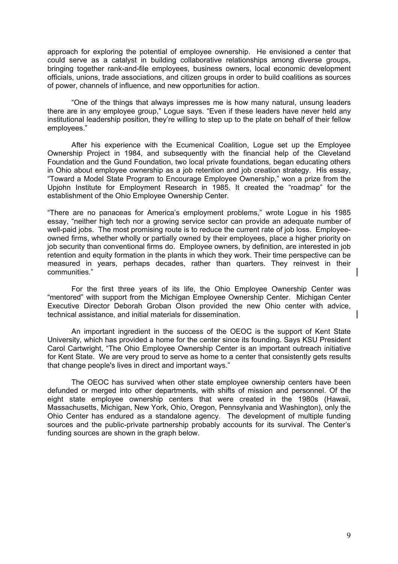approach for exploring the potential of employee ownership. He envisioned a center that could serve as a catalyst in building collaborative relationships among diverse groups, bringing together rank-and-file employees, business owners, local economic development officials, unions, trade associations, and citizen groups in order to build coalitions as sources of power, channels of influence, and new opportunities for action.

"One of the things that always impresses me is how many natural, unsung leaders there are in any employee group," Logue says. "Even if these leaders have never held any institutional leadership position, they're willing to step up to the plate on behalf of their fellow employees."

After his experience with the Ecumenical Coalition, Logue set up the Employee Ownership Project in 1984, and subsequently with the financial help of the Cleveland Foundation and the Gund Foundation, two local private foundations, began educating others in Ohio about employee ownership as a job retention and job creation strategy. His essay, "Toward a Model State Program to Encourage Employee Ownership," won a prize from the Upjohn Institute for Employment Research in 1985. It created the "roadmap" for the establishment of the Ohio Employee Ownership Center.

"There are no panaceas for America's employment problems," wrote Logue in his 1985 essay, "neither high tech nor a growing service sector can provide an adequate number of well-paid jobs. The most promising route is to reduce the current rate of job loss. Employeeowned firms, whether wholly or partially owned by their employees, place a higher priority on job security than conventional firms do. Employee owners, by definition, are interested in job retention and equity formation in the plants in which they work. Their time perspective can be measured in years, perhaps decades, rather than quarters. They reinvest in their communities."

For the first three years of its life, the Ohio Employee Ownership Center was "mentored" with support from the Michigan Employee Ownership Center. Michigan Center Executive Director Deborah Groban Olson provided the new Ohio center with advice, technical assistance, and initial materials for dissemination.

An important ingredient in the success of the OEOC is the support of Kent State University, which has provided a home for the center since its founding. Says KSU President Carol Cartwright, "The Ohio Employee Ownership Center is an important outreach initiative for Kent State. We are very proud to serve as home to a center that consistently gets results that change people's lives in direct and important ways."

The OEOC has survived when other state employee ownership centers have been defunded or merged into other departments, with shifts of mission and personnel. Of the eight state employee ownership centers that were created in the 1980s (Hawaii, Massachusetts, Michigan, New York, Ohio, Oregon, Pennsylvania and Washington), only the Ohio Center has endured as a standalone agency. The development of multiple funding sources and the public-private partnership probably accounts for its survival. The Center's funding sources are shown in the graph below.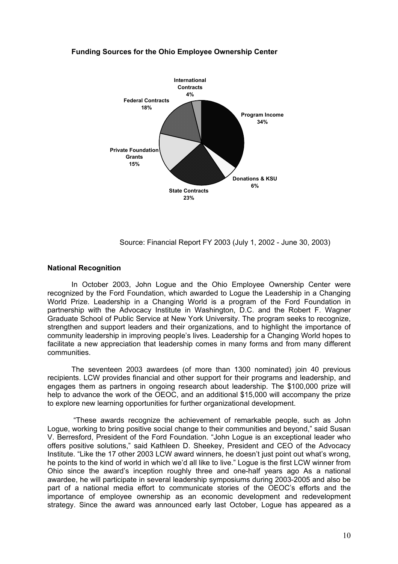## **Funding Sources for the Ohio Employee Ownership Center**



Source: Financial Report FY 2003 (July 1, 2002 - June 30, 2003)

#### **National Recognition**

In October 2003, John Logue and the Ohio Employee Ownership Center were recognized by the Ford Foundation, which awarded to Logue the Leadership in a Changing World Prize. Leadership in a Changing World is a program of the Ford Foundation in partnership with the Advocacy Institute in Washington, D.C. and the Robert F. Wagner Graduate School of Public Service at New York University. The program seeks to recognize, strengthen and support leaders and their organizations, and to highlight the importance of community leadership in improving people's lives. Leadership for a Changing World hopes to facilitate a new appreciation that leadership comes in many forms and from many different communities.

The seventeen 2003 awardees (of more than 1300 nominated) join 40 previous recipients. LCW provides financial and other support for their programs and leadership, and engages them as partners in ongoing research about leadership. The \$100,000 prize will help to advance the work of the OEOC, and an additional \$15,000 will accompany the prize to explore new learning opportunities for further organizational development.

 "These awards recognize the achievement of remarkable people, such as John Logue, working to bring positive social change to their communities and beyond," said Susan V. Berresford, President of the Ford Foundation. "John Logue is an exceptional leader who offers positive solutions," said Kathleen D. Sheekey, President and CEO of the Advocacy Institute. "Like the 17 other 2003 LCW award winners, he doesn't just point out what's wrong, he points to the kind of world in which we'd all like to live." Logue is the first LCW winner from Ohio since the award's inception roughly three and one-half years ago As a national awardee, he will participate in several leadership symposiums during 2003-2005 and also be part of a national media effort to communicate stories of the OEOC's efforts and the importance of employee ownership as an economic development and redevelopment strategy. Since the award was announced early last October, Logue has appeared as a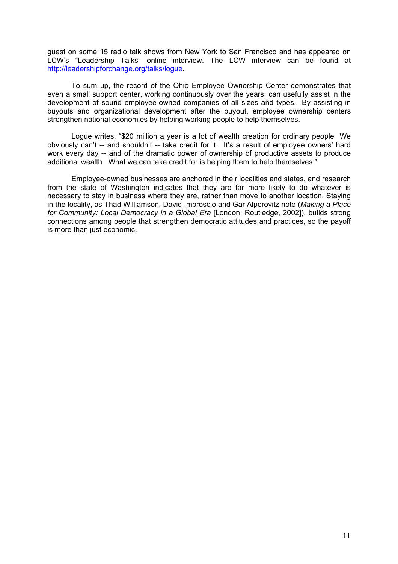guest on some 15 radio talk shows from New York to San Francisco and has appeared on LCW's "Leadership Talks" online interview. The LCW interview can be found at http://leadershipforchange.org/talks/logue.

To sum up, the record of the Ohio Employee Ownership Center demonstrates that even a small support center, working continuously over the years, can usefully assist in the development of sound employee-owned companies of all sizes and types. By assisting in buyouts and organizational development after the buyout, employee ownership centers strengthen national economies by helping working people to help themselves.

Logue writes, "\$20 million a year is a lot of wealth creation for ordinary people We obviously can't -- and shouldn't -- take credit for it. It's a result of employee owners' hard work every day -- and of the dramatic power of ownership of productive assets to produce additional wealth. What we can take credit for is helping them to help themselves."

Employee-owned businesses are anchored in their localities and states, and research from the state of Washington indicates that they are far more likely to do whatever is necessary to stay in business where they are, rather than move to another location. Staying in the locality, as Thad Williamson, David Imbroscio and Gar Alperovitz note (*Making a Place for Community: Local Democracy in a Global Era* [London: Routledge, 2002]), builds strong connections among people that strengthen democratic attitudes and practices, so the payoff is more than just economic.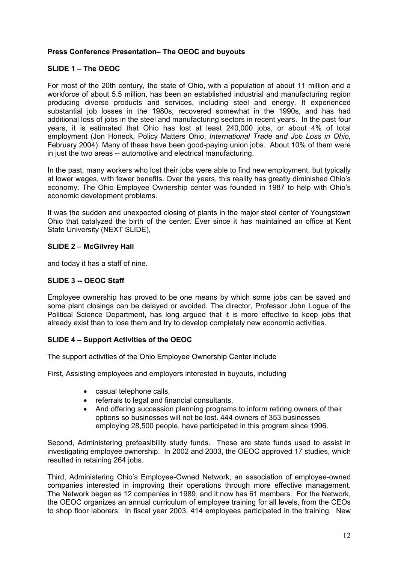# **Press Conference Presentation– The OEOC and buyouts**

# **SLIDE 1 – The OEOC**

For most of the 20th century, the state of Ohio, with a population of about 11 million and a workforce of about 5.5 million, has been an established industrial and manufacturing region producing diverse products and services, including steel and energy. It experienced substantial job losses in the 1980s, recovered somewhat in the 1990s, and has had additional loss of jobs in the steel and manufacturing sectors in recent years. In the past four years, it is estimated that Ohio has lost at least 240,000 jobs, or about 4% of total employment (Jon Honeck, Policy Matters Ohio, *International Trade and Job Loss in Ohio,*  February 2004). Many of these have been good-paying union jobs. About 10% of them were in just the two areas -- automotive and electrical manufacturing.

In the past, many workers who lost their jobs were able to find new employment, but typically at lower wages, with fewer benefits. Over the years, this reality has greatly diminished Ohio's economy. The Ohio Employee Ownership center was founded in 1987 to help with Ohio's economic development problems.

It was the sudden and unexpected closing of plants in the major steel center of Youngstown Ohio that catalyzed the birth of the center. Ever since it has maintained an office at Kent State University (NEXT SLIDE),

## **SLIDE 2 – McGilvrey Hall**

and today it has a staff of nine.

# **SLIDE 3 -- OEOC Staff**

Employee ownership has proved to be one means by which some jobs can be saved and some plant closings can be delayed or avoided. The director, Professor John Logue of the Political Science Department, has long argued that it is more effective to keep jobs that already exist than to lose them and try to develop completely new economic activities.

## **SLIDE 4 – Support Activities of the OEOC**

The support activities of the Ohio Employee Ownership Center include

First, Assisting employees and employers interested in buyouts, including

- casual telephone calls,
- referrals to legal and financial consultants,
- And offering succession planning programs to inform retiring owners of their options so businesses will not be lost. 444 owners of 353 businesses employing 28,500 people, have participated in this program since 1996.

Second, Administering prefeasibility study funds. These are state funds used to assist in investigating employee ownership. In 2002 and 2003, the OEOC approved 17 studies, which resulted in retaining 264 jobs.

Third, Administering Ohio's Employee-Owned Network, an association of employee-owned companies interested in improving their operations through more effective management. The Network began as 12 companies in 1989, and it now has 61 members. For the Network, the OEOC organizes an annual curriculum of employee training for all levels, from the CEOs to shop floor laborers. In fiscal year 2003, 414 employees participated in the training. New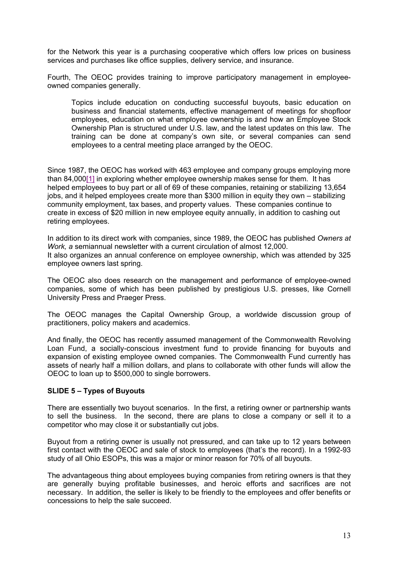for the Network this year is a purchasing cooperative which offers low prices on business services and purchases like office supplies, delivery service, and insurance.

Fourth, The OEOC provides training to improve participatory management in employeeowned companies generally.

Topics include education on conducting successful buyouts, basic education on business and financial statements, effective management of meetings for shopfloor employees, education on what employee ownership is and how an Employee Stock Ownership Plan is structured under U.S. law, and the latest updates on this law. The training can be done at company's own site, or several companies can send employees to a central meeting place arranged by the OEOC.

Since 1987, the OEOC has worked with 463 employee and company groups employing more than 84,000[1] in exploring whether employee ownership makes sense for them. It has helped employees to buy part or all of 69 of these companies, retaining or stabilizing 13,654 jobs, and it helped employees create more than \$300 million in equity they own – stabilizing community employment, tax bases, and property values. These companies continue to create in excess of \$20 million in new employee equity annually, in addition to cashing out retiring employees.

In addition to its direct work with companies, since 1989, the OEOC has published *Owners at Work, a* semiannual newsletter with a current circulation of almost 12,000. It also organizes an annual conference on employee ownership, which was attended by 325 employee owners last spring.

The OEOC also does research on the management and performance of employee-owned companies, some of which has been published by prestigious U.S. presses, like Cornell University Press and Praeger Press.

The OEOC manages the Capital Ownership Group, a worldwide discussion group of practitioners, policy makers and academics.

And finally, the OEOC has recently assumed management of the Commonwealth Revolving Loan Fund, a socially-conscious investment fund to provide financing for buyouts and expansion of existing employee owned companies. The Commonwealth Fund currently has assets of nearly half a million dollars, and plans to collaborate with other funds will allow the OEOC to loan up to \$500,000 to single borrowers.

## **SLIDE 5 – Types of Buyouts**

There are essentially two buyout scenarios. In the first, a retiring owner or partnership wants to sell the business. In the second, there are plans to close a company or sell it to a competitor who may close it or substantially cut jobs.

Buyout from a retiring owner is usually not pressured, and can take up to 12 years between first contact with the OEOC and sale of stock to employees (that's the record). In a 1992-93 study of all Ohio ESOPs, this was a major or minor reason for 70% of all buyouts.

The advantageous thing about employees buying companies from retiring owners is that they are generally buying profitable businesses, and heroic efforts and sacrifices are not necessary. In addition, the seller is likely to be friendly to the employees and offer benefits or concessions to help the sale succeed.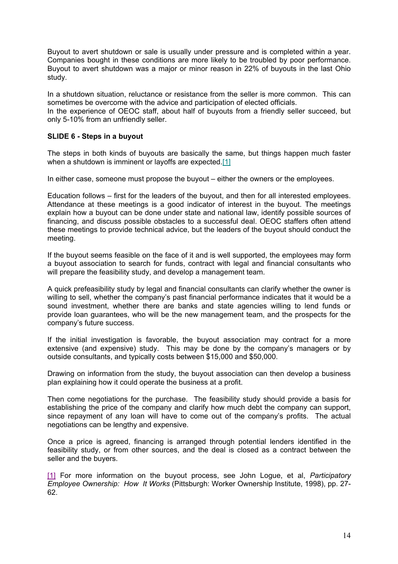Buyout to avert shutdown or sale is usually under pressure and is completed within a year. Companies bought in these conditions are more likely to be troubled by poor performance. Buyout to avert shutdown was a major or minor reason in 22% of buyouts in the last Ohio study.

In a shutdown situation, reluctance or resistance from the seller is more common. This can sometimes be overcome with the advice and participation of elected officials.

In the experience of OEOC staff, about half of buyouts from a friendly seller succeed, but only 5-10% from an unfriendly seller.

## **SLIDE 6 - Steps in a buyout**

The steps in both kinds of buyouts are basically the same, but things happen much faster when a shutdown is imminent or layoffs are expected.<sup>[1]</sup>

In either case, someone must propose the buyout – either the owners or the employees.

Education follows – first for the leaders of the buyout, and then for all interested employees. Attendance at these meetings is a good indicator of interest in the buyout. The meetings explain how a buyout can be done under state and national law, identify possible sources of financing, and discuss possible obstacles to a successful deal. OEOC staffers often attend these meetings to provide technical advice, but the leaders of the buyout should conduct the meeting.

If the buyout seems feasible on the face of it and is well supported, the employees may form a buyout association to search for funds, contract with legal and financial consultants who will prepare the feasibility study, and develop a management team.

A quick prefeasibility study by legal and financial consultants can clarify whether the owner is willing to sell, whether the company's past financial performance indicates that it would be a sound investment, whether there are banks and state agencies willing to lend funds or provide loan guarantees, who will be the new management team, and the prospects for the company's future success.

If the initial investigation is favorable, the buyout association may contract for a more extensive (and expensive) study. This may be done by the company's managers or by outside consultants, and typically costs between \$15,000 and \$50,000.

Drawing on information from the study, the buyout association can then develop a business plan explaining how it could operate the business at a profit.

Then come negotiations for the purchase. The feasibility study should provide a basis for establishing the price of the company and clarify how much debt the company can support, since repayment of any loan will have to come out of the company's profits. The actual negotiations can be lengthy and expensive.

Once a price is agreed, financing is arranged through potential lenders identified in the feasibility study, or from other sources, and the deal is closed as a contract between the seller and the buyers.

[1] For more information on the buyout process, see John Logue, et al, *Participatory Employee Ownership: How It Works* (Pittsburgh: Worker Ownership Institute, 1998), pp. 27- 62.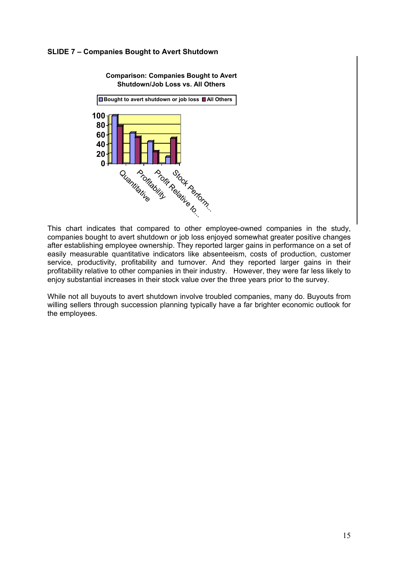## **SLIDE 7 – Companies Bought to Avert Shutdown**



This chart indicates that compared to other employee-owned companies in the study, companies bought to avert shutdown or job loss enjoyed somewhat greater positive changes after establishing employee ownership. They reported larger gains in performance on a set of easily measurable quantitative indicators like absenteeism, costs of production, customer service, productivity, profitability and turnover. And they reported larger gains in their profitability relative to other companies in their industry. However, they were far less likely to enjoy substantial increases in their stock value over the three years prior to the survey.

While not all buyouts to avert shutdown involve troubled companies, many do. Buyouts from willing sellers through succession planning typically have a far brighter economic outlook for the employees.